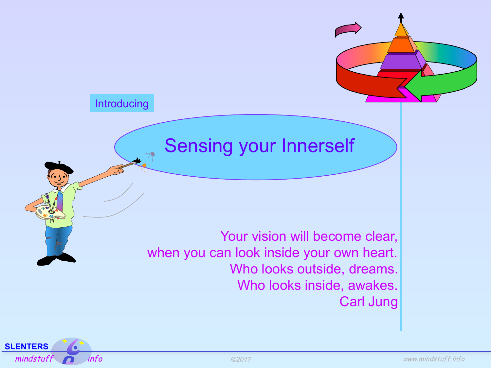

Your vision will become clear, when you can look inside your own heart. Who looks outside, dreams. Who looks inside, awakes. Carl Jung



Introducing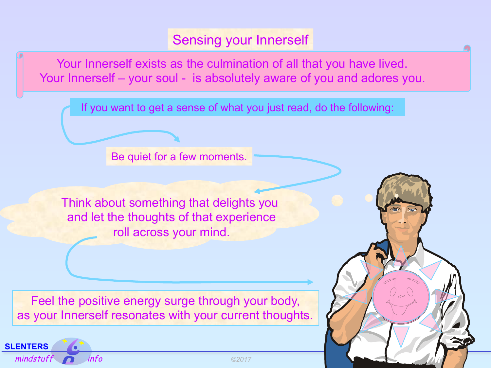Your Innerself exists as the culmination of all that you have lived. Your Innerself – your soul - is absolutely aware of you and adores you.

If you want to get a sense of what you just read, do the following:

Be quiet for a few moments.

Think about something that delights you and let the thoughts of that experience roll across your mind.

Feel the positive energy surge through your body, as your Innerself resonates with your current thoughts.



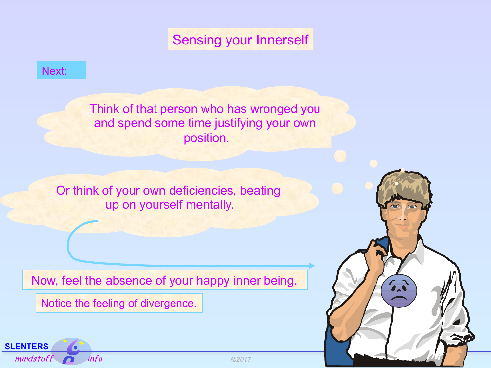#### Next:

Think of that person who has wronged you and spend some time justifying your own position.

Or think of your own deficiencies, beating up on yourself mentally.

Now, feel the absence of your happy inner being.

Notice the feeling of divergence.



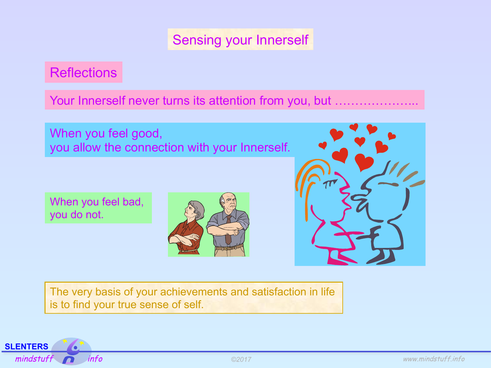**Reflections** 

Your Innerself never turns its attention from you, but .........................

When you feel good, you allow the connection with your Innerself.

When you feel bad, you do not.





The very basis of your achievements and satisfaction in life is to find your true sense of self.

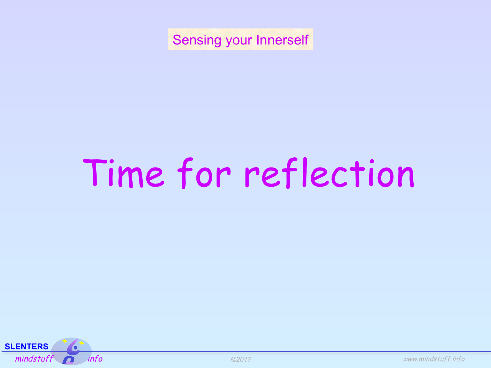# Time for reflection



*©2017*